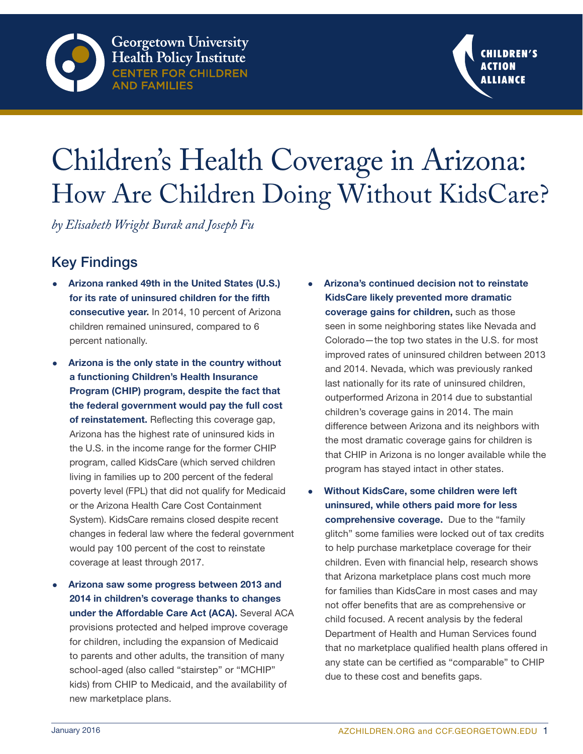



# Children's Health Coverage in Arizona: How Are Children Doing Without KidsCare?

*by Elisabeth Wright Burak and Joseph Fu*

# Key Findings

- Arizona ranked 49th in the United States (U.S.) for its rate of uninsured children for the fifth consecutive year. In 2014, 10 percent of Arizona children remained uninsured, compared to 6 percent nationally.
- Arizona is the only state in the country without a functioning Children's Health Insurance Program (CHIP) program, despite the fact that the federal government would pay the full cost of reinstatement. Reflecting this coverage gap, Arizona has the highest rate of uninsured kids in the U.S. in the income range for the former CHIP program, called KidsCare (which served children living in families up to 200 percent of the federal poverty level (FPL) that did not qualify for Medicaid or the Arizona Health Care Cost Containment System). KidsCare remains closed despite recent changes in federal law where the federal government would pay 100 percent of the cost to reinstate coverage at least through 2017.
- Arizona saw some progress between 2013 and 2014 in children's coverage thanks to changes under the Affordable Care Act (ACA). Several ACA provisions protected and helped improve coverage for children, including the expansion of Medicaid to parents and other adults, the transition of many school-aged (also called "stairstep" or "MCHIP" kids) from CHIP to Medicaid, and the availability of new marketplace plans.
- Arizona's continued decision not to reinstate KidsCare likely prevented more dramatic coverage gains for children, such as those seen in some neighboring states like Nevada and Colorado—the top two states in the U.S. for most improved rates of uninsured children between 2013 and 2014. Nevada, which was previously ranked last nationally for its rate of uninsured children, outperformed Arizona in 2014 due to substantial children's coverage gains in 2014. The main difference between Arizona and its neighbors with the most dramatic coverage gains for children is that CHIP in Arizona is no longer available while the program has stayed intact in other states.
- Without KidsCare, some children were left uninsured, while others paid more for less comprehensive coverage. Due to the "family" glitch" some families were locked out of tax credits to help purchase marketplace coverage for their children. Even with financial help, research shows that Arizona marketplace plans cost much more for families than KidsCare in most cases and may not offer benefits that are as comprehensive or child focused. A recent analysis by the federal Department of Health and Human Services found that no marketplace qualified health plans offered in any state can be certified as "comparable" to CHIP due to these cost and benefits gaps.